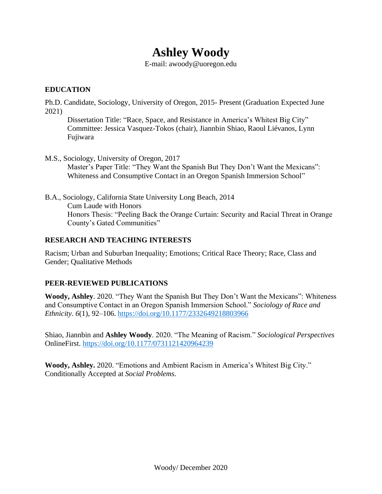# **Ashley Woody**

E-mail: [awoody@uoregon.edu](mailto:awoody@uoregon.edu)

## **EDUCATION**

Ph.D. Candidate, Sociology, University of Oregon, 2015- Present (Graduation Expected June 2021)

Dissertation Title: "Race, Space, and Resistance in America's Whitest Big City" Committee: Jessica Vasquez-Tokos (chair), Jiannbin Shiao, Raoul Liévanos, Lynn Fujiwara

- M.S., Sociology, University of Oregon, 2017 Master's Paper Title: "They Want the Spanish But They Don't Want the Mexicans": Whiteness and Consumptive Contact in an Oregon Spanish Immersion School"
- B.A., Sociology, California State University Long Beach, 2014 Cum Laude with Honors Honors Thesis: "Peeling Back the Orange Curtain: Security and Racial Threat in Orange County's Gated Communities"

# **RESEARCH AND TEACHING INTERESTS**

Racism; Urban and Suburban Inequality; Emotions; Critical Race Theory; Race, Class and Gender; Qualitative Methods

# **PEER-REVIEWED PUBLICATIONS**

**Woody, Ashley**. 2020. "They Want the Spanish But They Don't Want the Mexicans": Whiteness and Consumptive Contact in an Oregon Spanish Immersion School." *Sociology of Race and Ethnicity*. *6*(1), 92–106. [https://doi.org/10.1177/2332649218803966](https://doi.org/10.1177%2F2332649218803966)

Shiao, Jiannbin and **Ashley Woody**. 2020. "The Meaning of Racism." *Sociological Perspectives* OnlineFirst. [https://doi.org/10.1177/0731121420964239](https://doi.org/10.1177%2F0731121420964239)

**Woody, Ashley.** 2020. "Emotions and Ambient Racism in America's Whitest Big City." Conditionally Accepted at *Social Problems.*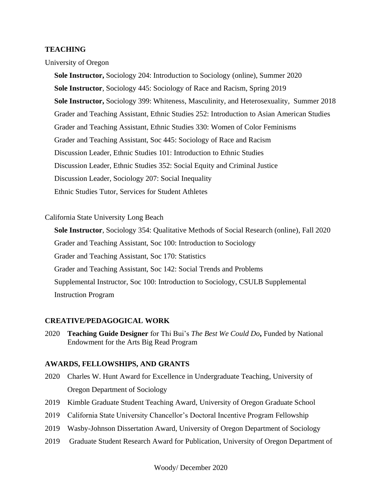#### **TEACHING**

University of Oregon

**Sole Instructor,** Sociology 204: Introduction to Sociology (online), Summer 2020 **Sole Instructor**, Sociology 445: Sociology of Race and Racism, Spring 2019 **Sole Instructor,** Sociology 399: Whiteness, Masculinity, and Heterosexuality, Summer 2018 Grader and Teaching Assistant, Ethnic Studies 252: Introduction to Asian American Studies Grader and Teaching Assistant, Ethnic Studies 330: Women of Color Feminisms Grader and Teaching Assistant, Soc 445: Sociology of Race and Racism Discussion Leader, Ethnic Studies 101: Introduction to Ethnic Studies Discussion Leader, Ethnic Studies 352: Social Equity and Criminal Justice Discussion Leader, Sociology 207: Social Inequality Ethnic Studies Tutor, Services for Student Athletes

#### California State University Long Beach

 **Sole Instructor**, Sociology 354: Qualitative Methods of Social Research (online), Fall 2020 Grader and Teaching Assistant, Soc 100: Introduction to Sociology Grader and Teaching Assistant, Soc 170: Statistics Grader and Teaching Assistant, Soc 142: Social Trends and Problems Supplemental Instructor, Soc 100: Introduction to Sociology, CSULB Supplemental Instruction Program

#### **CREATIVE/PEDAGOGICAL WORK**

2020 **Teaching Guide Designer** for Thi Bui's *The Best We Could Do***,** Funded by National Endowment for the Arts Big Read Program

#### **AWARDS, FELLOWSHIPS, AND GRANTS**

- 2020 Charles W. Hunt Award for Excellence in Undergraduate Teaching, University of Oregon Department of Sociology
- 2019 Kimble Graduate Student Teaching Award, University of Oregon Graduate School
- 2019 California State University Chancellor's Doctoral Incentive Program Fellowship
- 2019 Wasby-Johnson Dissertation Award, University of Oregon Department of Sociology
- 2019 Graduate Student Research Award for Publication, University of Oregon Department of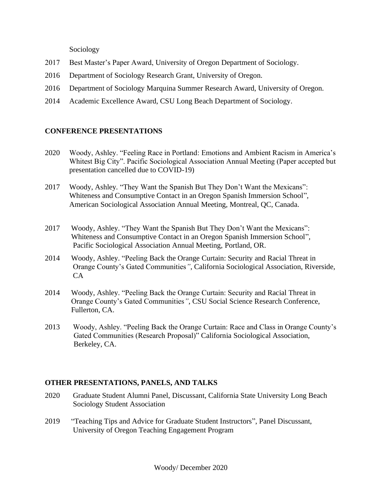Sociology

- 2017 Best Master's Paper Award, University of Oregon Department of Sociology.
- 2016 Department of Sociology Research Grant, University of Oregon.
- 2016 Department of Sociology Marquina Summer Research Award, University of Oregon.
- 2014 Academic Excellence Award, CSU Long Beach Department of Sociology.

# **CONFERENCE PRESENTATIONS**

- 2020 Woody, Ashley. "Feeling Race in Portland: Emotions and Ambient Racism in America's Whitest Big City". Pacific Sociological Association Annual Meeting (Paper accepted but presentation cancelled due to COVID-19)
- 2017Woody, Ashley*.* "They Want the Spanish But They Don't Want the Mexicans": Whiteness and Consumptive Contact in an Oregon Spanish Immersion School"*,*  American Sociological Association Annual Meeting, Montreal, QC, Canada.
- 2017 Woody, Ashley. "They Want the Spanish But They Don't Want the Mexicans": Whiteness and Consumptive Contact in an Oregon Spanish Immersion School"*,* Pacific Sociological Association Annual Meeting, Portland, OR.
- 2014 Woody, Ashley. "Peeling Back the Orange Curtain: Security and Racial Threat in Orange County's Gated Communities*"*, California Sociological Association, Riverside, CA
- 2014 Woody, Ashley. "Peeling Back the Orange Curtain: Security and Racial Threat in Orange County's Gated Communities*"*, CSU Social Science Research Conference, Fullerton, CA.
- 2013Woody, Ashley. "Peeling Back the Orange Curtain: Race and Class in Orange County's Gated Communities (Research Proposal)" California Sociological Association, Berkeley, CA.

# **OTHER PRESENTATIONS, PANELS, AND TALKS**

- 2020 Graduate Student Alumni Panel, Discussant, California State University Long Beach Sociology Student Association
- 2019 "Teaching Tips and Advice for Graduate Student Instructors", Panel Discussant, University of Oregon Teaching Engagement Program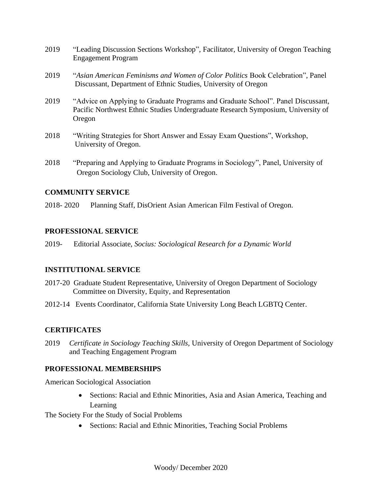- 2019 "Leading Discussion Sections Workshop", Facilitator, University of Oregon Teaching Engagement Program
- 2019"*Asian American Feminisms and Women of Color Politics* Book Celebration", Panel Discussant, Department of Ethnic Studies, University of Oregon
- 2019 "Advice on Applying to Graduate Programs and Graduate School". Panel Discussant, Pacific Northwest Ethnic Studies Undergraduate Research Symposium, University of Oregon
- 2018 "Writing Strategies for Short Answer and Essay Exam Questions", Workshop, University of Oregon.
- 2018 "Preparing and Applying to Graduate Programs in Sociology", Panel, University of Oregon Sociology Club, University of Oregon.

# **COMMUNITY SERVICE**

2018- 2020 Planning Staff, DisOrient Asian American Film Festival of Oregon.

#### **PROFESSIONAL SERVICE**

2019- Editorial Associate, *Socius: Sociological Research for a Dynamic World*

## **INSTITUTIONAL SERVICE**

- 2017-20 Graduate Student Representative, University of Oregon Department of Sociology Committee on Diversity, Equity, and Representation
- 2012-14 Events Coordinator, California State University Long Beach LGBTQ Center.

## **CERTIFICATES**

2019 *Certificate in Sociology Teaching Skills,* University of Oregon Department of Sociology and Teaching Engagement Program

## **PROFESSIONAL MEMBERSHIPS**

American Sociological Association

• Sections: Racial and Ethnic Minorities, Asia and Asian America, Teaching and Learning

The Society For the Study of Social Problems

• Sections: Racial and Ethnic Minorities, Teaching Social Problems